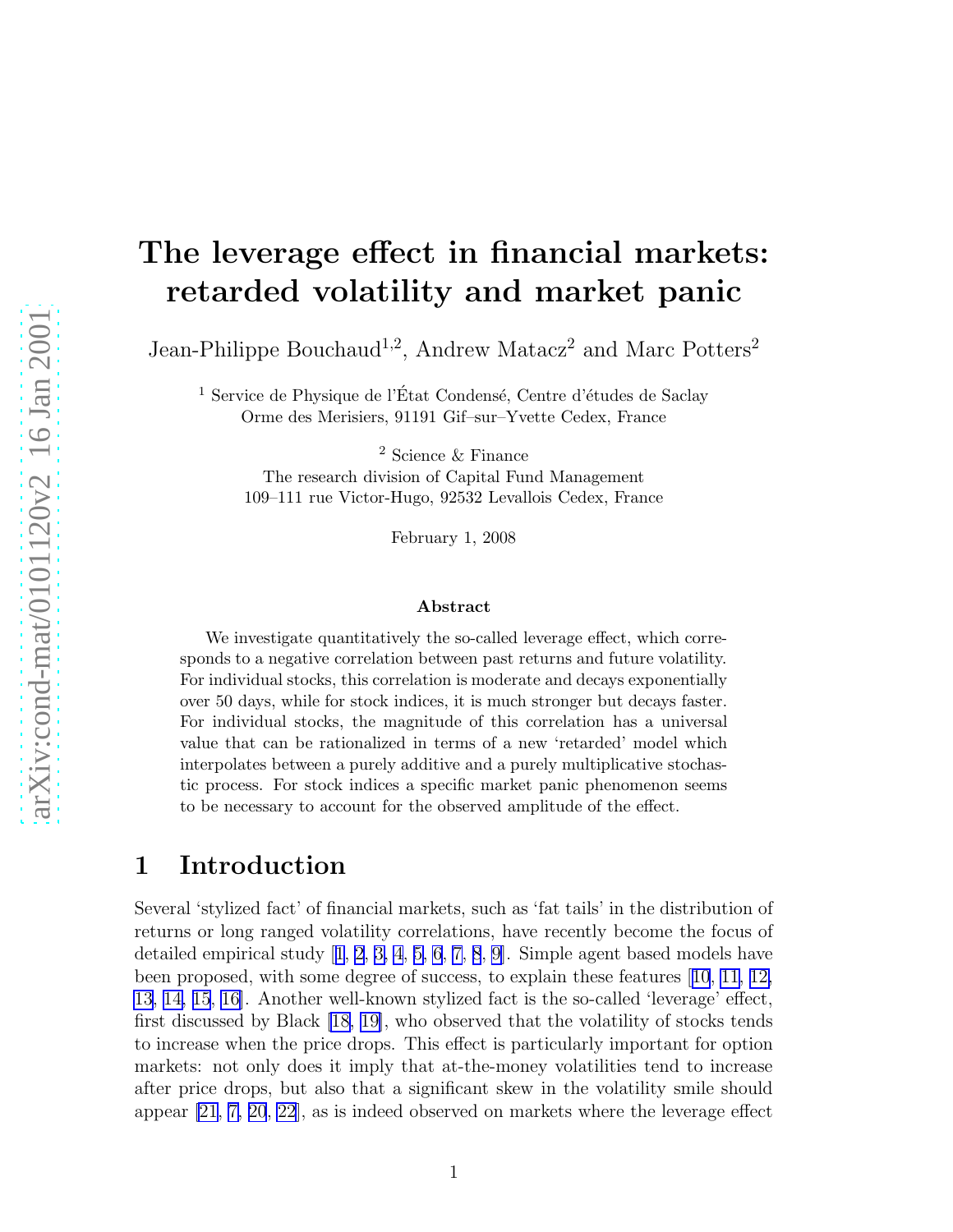# The leverage effect in financial markets: retarded volatility and market panic

Jean-Philippe Bouchaud<sup>1,2</sup>, Andrew Matacz<sup>2</sup> and Marc Potters<sup>2</sup>

<sup>1</sup> Service de Physique de l'État Condensé, Centre d'études de Saclay Orme des Merisiers, 91191 Gif–sur–Yvette Cedex, France

<sup>2</sup> Science & Finance

The research division of Capital Fund Management 109–111 rue Victor-Hugo, 92532 Levallois Cedex, France

February 1, 2008

#### Abstract

We investigate quantitatively the so-called leverage effect, which corresponds to a negative correlation between past returns and future volatility. For individual stocks, this correlation is moderate and decays exponentially over 50 days, while for stock indices, it is much stronger but decays faster. For individual stocks, the magnitude of this correlation has a universal value that can be rationalized in terms of a new 'retarded' model which interpolates between a purely additive and a purely multiplicative stochastic process. For stock indices a specific market panic phenomenon seems to be necessary to account for the observed amplitude of the effect.

#### 1 Introduction

Several 'stylized fact' of financial markets, such as 'fat tails' in the distribution of returns or long ranged volatility correlations, have recently become the focus of detailed empirical study[[1](#page-9-0), [2](#page-9-0), [3, 4](#page-9-0), [5, 6](#page-9-0), [7, 8](#page-10-0), [9](#page-10-0)]. Simple agent based models have been proposed, with some degree of success, to explain these features[[10](#page-10-0), [11, 12,](#page-10-0) [13](#page-10-0), [14, 15](#page-10-0), [16](#page-10-0)]. Another well-known stylized fact is the so-called 'leverage' effect, first discussed by Black [\[18, 19\]](#page-10-0), who observed that the volatility of stocks tends to increase when the price drops. This effect is particularly important for option markets: not only does it imply that at-the-money volatilities tend to increase after price drops, but also that a significant skew in the volatility smile should appear [\[21, 7, 20](#page-10-0), [22](#page-10-0)], as is indeed observed on markets where the leverage effect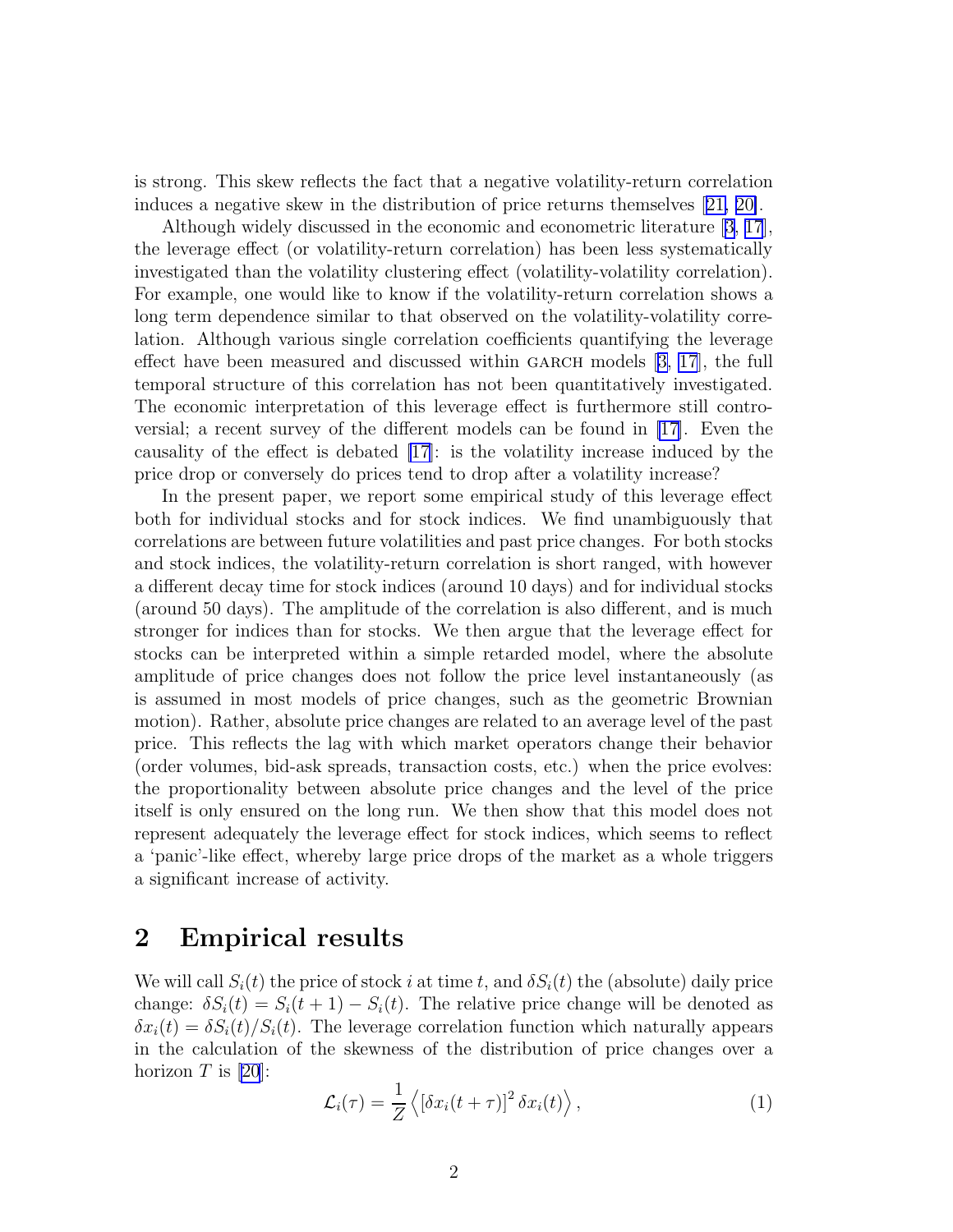<span id="page-1-0"></span>is strong. This skew reflects the fact that a negative volatility-return correlation induces a negative skew in the distribution of price returns themselves[[21, 20\]](#page-10-0).

Although widely discussed in the economic and econometric literature [\[3,](#page-9-0) [17](#page-10-0)], the leverage effect (or volatility-return correlation) has been less systematically investigated than the volatility clustering effect (volatility-volatility correlation). For example, one would like to know if the volatility-return correlation shows a long term dependence similar to that observed on the volatility-volatility correlation. Although various single correlation coefficients quantifying the leverage effecthave been measured and discussed within GARCH models  $[3, 17]$  $[3, 17]$  $[3, 17]$  $[3, 17]$ , the full temporal structure of this correlation has not been quantitatively investigated. The economic interpretation of this leverage effect is furthermore still controversial; a recent survey of the different models can be found in [\[17\]](#page-10-0). Even the causality of the effect is debated [\[17](#page-10-0)]: is the volatility increase induced by the price drop or conversely do prices tend to drop after a volatility increase?

In the present paper, we report some empirical study of this leverage effect both for individual stocks and for stock indices. We find unambiguously that correlations are between future volatilities and past price changes. For both stocks and stock indices, the volatility-return correlation is short ranged, with however a different decay time for stock indices (around 10 days) and for individual stocks (around 50 days). The amplitude of the correlation is also different, and is much stronger for indices than for stocks. We then argue that the leverage effect for stocks can be interpreted within a simple retarded model, where the absolute amplitude of price changes does not follow the price level instantaneously (as is assumed in most models of price changes, such as the geometric Brownian motion). Rather, absolute price changes are related to an average level of the past price. This reflects the lag with which market operators change their behavior (order volumes, bid-ask spreads, transaction costs, etc.) when the price evolves: the proportionality between absolute price changes and the level of the price itself is only ensured on the long run. We then show that this model does not represent adequately the leverage effect for stock indices, which seems to reflect a 'panic'-like effect, whereby large price drops of the market as a whole triggers a significant increase of activity.

#### 2 Empirical results

We will call  $S_i(t)$  the price of stock i at time t, and  $\delta S_i(t)$  the (absolute) daily price change:  $\delta S_i(t) = S_i(t+1) - S_i(t)$ . The relative price change will be denoted as  $\delta x_i(t) = \delta S_i(t)/S_i(t)$ . The leverage correlation function which naturally appears in the calculation of the skewness of the distribution of price changes over a horizon  $T$  is [\[20](#page-10-0)]:

$$
\mathcal{L}_i(\tau) = \frac{1}{Z} \left\langle \left[ \delta x_i(t+\tau) \right]^2 \delta x_i(t) \right\rangle, \tag{1}
$$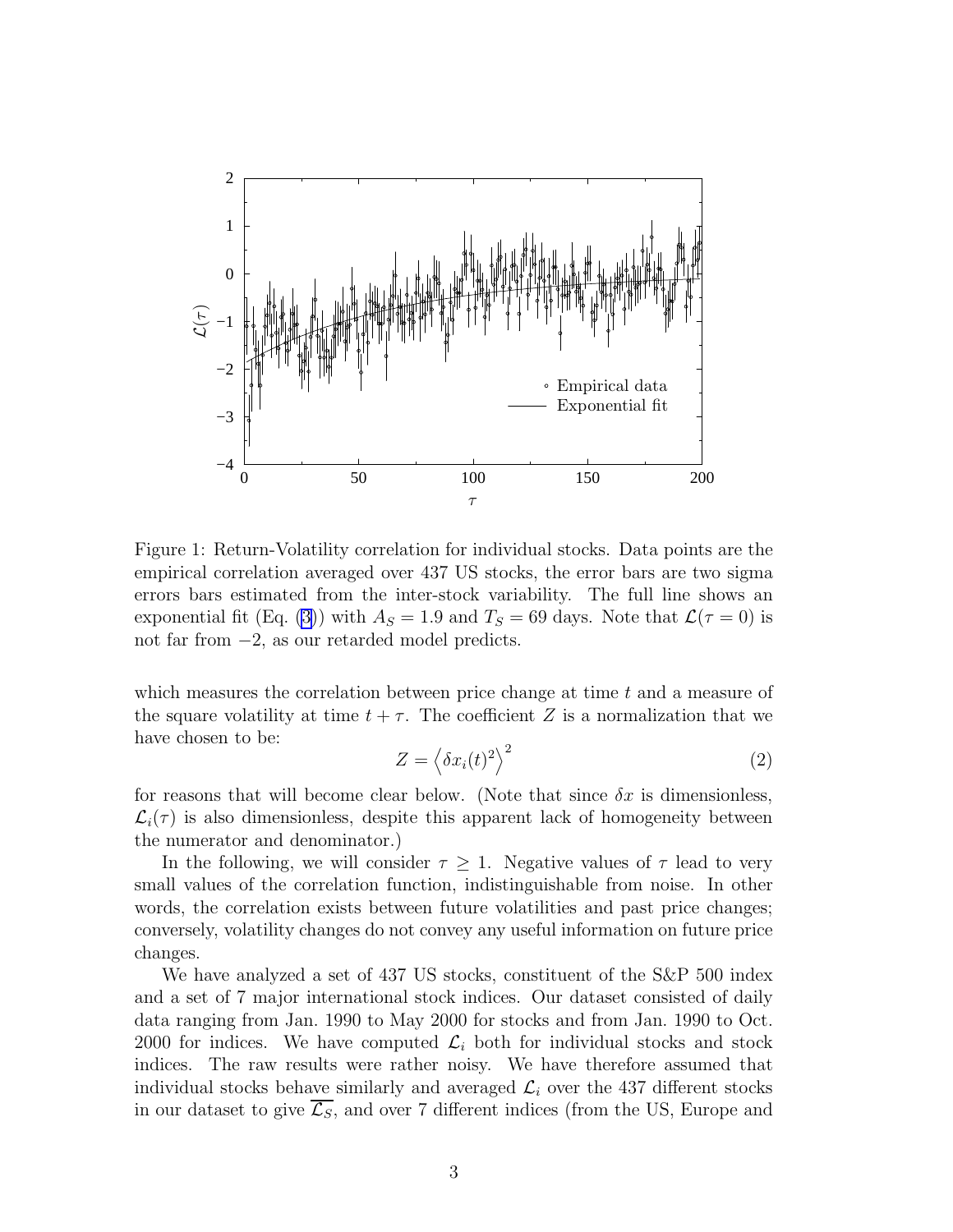

Figure 1: Return-Volatility correlation for individual stocks. Data points are the empirical correlation averaged over 437 US stocks, the error bars are two sigma errors bars estimated from the inter-stock variability. The full line shows an exponential fit (Eq. [\(3\)](#page-3-0)) with  $A<sub>S</sub> = 1.9$  and  $T<sub>S</sub> = 69$  days. Note that  $\mathcal{L}(\tau = 0)$  is not far from −2, as our retarded model predicts.

which measures the correlation between price change at time t and a measure of the square volatility at time  $t + \tau$ . The coefficient Z is a normalization that we have chosen to be:

$$
Z = \left\langle \delta x_i(t)^2 \right\rangle^2 \tag{2}
$$

for reasons that will become clear below. (Note that since  $\delta x$  is dimensionless,  $\mathcal{L}_i(\tau)$  is also dimensionless, despite this apparent lack of homogeneity between the numerator and denominator.)

In the following, we will consider  $\tau \geq 1$ . Negative values of  $\tau$  lead to very small values of the correlation function, indistinguishable from noise. In other words, the correlation exists between future volatilities and past price changes; conversely, volatility changes do not convey any useful information on future price changes.

We have analyzed a set of 437 US stocks, constituent of the S&P 500 index and a set of 7 major international stock indices. Our dataset consisted of daily data ranging from Jan. 1990 to May 2000 for stocks and from Jan. 1990 to Oct. 2000 for indices. We have computed  $\mathcal{L}_i$  both for individual stocks and stock indices. The raw results were rather noisy. We have therefore assumed that individual stocks behave similarly and averaged  $\mathcal{L}_i$  over the 437 different stocks in our dataset to give  $\overline{\mathcal{L}_S}$ , and over 7 different indices (from the US, Europe and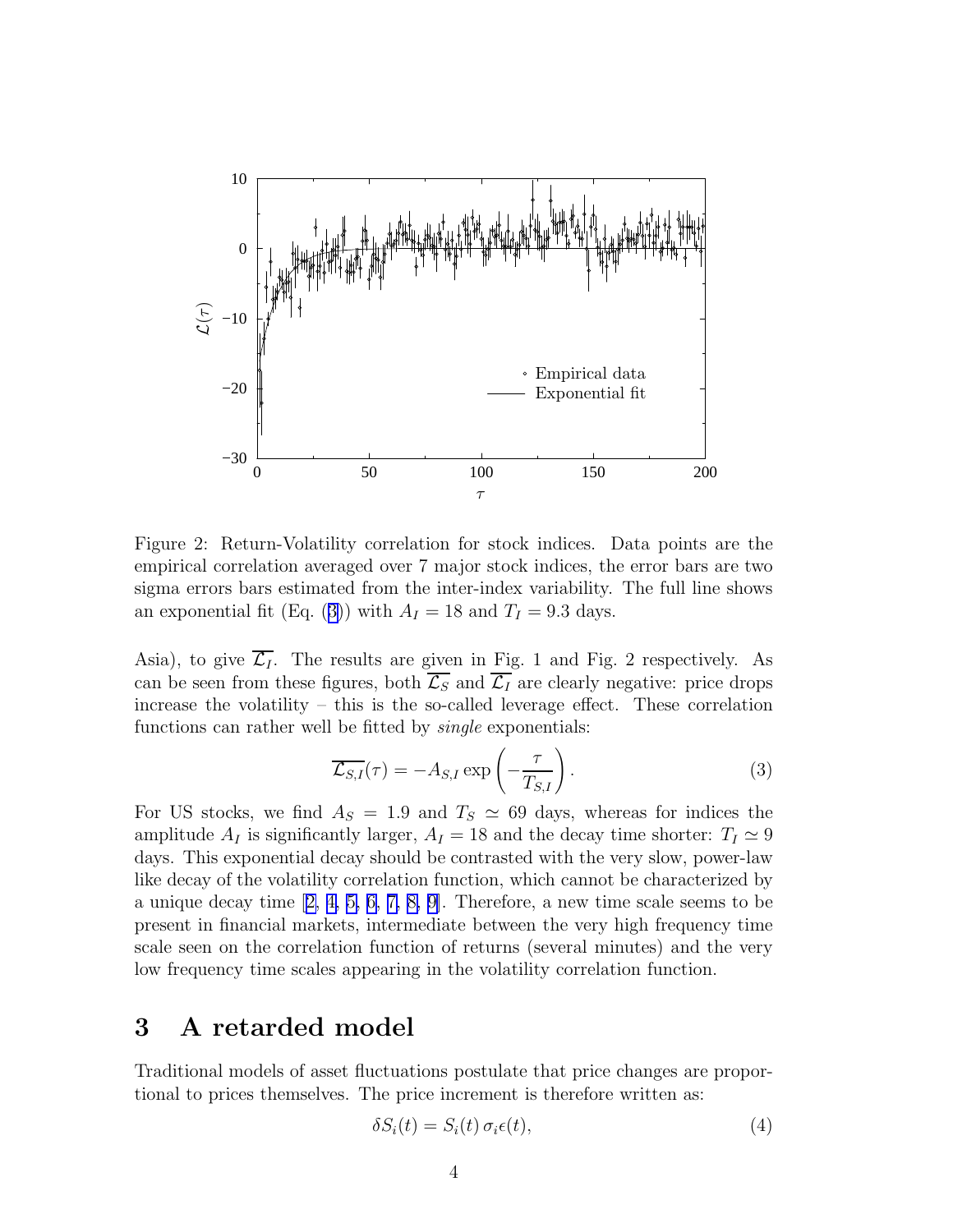<span id="page-3-0"></span>

Figure 2: Return-Volatility correlation for stock indices. Data points are the empirical correlation averaged over 7 major stock indices, the error bars are two sigma errors bars estimated from the inter-index variability. The full line shows an exponential fit (Eq. (3)) with  $A_I = 18$  and  $T_I = 9.3$  days.

Asia), to give  $\overline{\mathcal{L}_I}$ . The results are given in Fig. 1 and Fig. 2 respectively. As can be seen from these figures, both  $\overline{\mathcal{L}_S}$  and  $\overline{\mathcal{L}_I}$  are clearly negative: price drops increase the volatility – this is the so-called leverage effect. These correlation functions can rather well be fitted by *single* exponentials:

$$
\overline{\mathcal{L}_{S,I}}(\tau) = -A_{S,I} \exp\left(-\frac{\tau}{T_{S,I}}\right). \tag{3}
$$

For US stocks, we find  $A_S = 1.9$  and  $T_S \simeq 69$  days, whereas for indices the amplitude  $A_I$  is significantly larger,  $A_I = 18$  and the decay time shorter:  $T_I \simeq 9$ days. This exponential decay should be contrasted with the very slow, power-law like decay of the volatility correlation function, which cannot be characterized by aunique decay time  $[2, 4, 5, 6, 7, 8, 9]$  $[2, 4, 5, 6, 7, 8, 9]$  $[2, 4, 5, 6, 7, 8, 9]$ . Therefore, a new time scale seems to be present in financial markets, intermediate between the very high frequency time scale seen on the correlation function of returns (several minutes) and the very low frequency time scales appearing in the volatility correlation function.

#### 3 A retarded model

Traditional models of asset fluctuations postulate that price changes are proportional to prices themselves. The price increment is therefore written as:

$$
\delta S_i(t) = S_i(t) \sigma_i \epsilon(t), \tag{4}
$$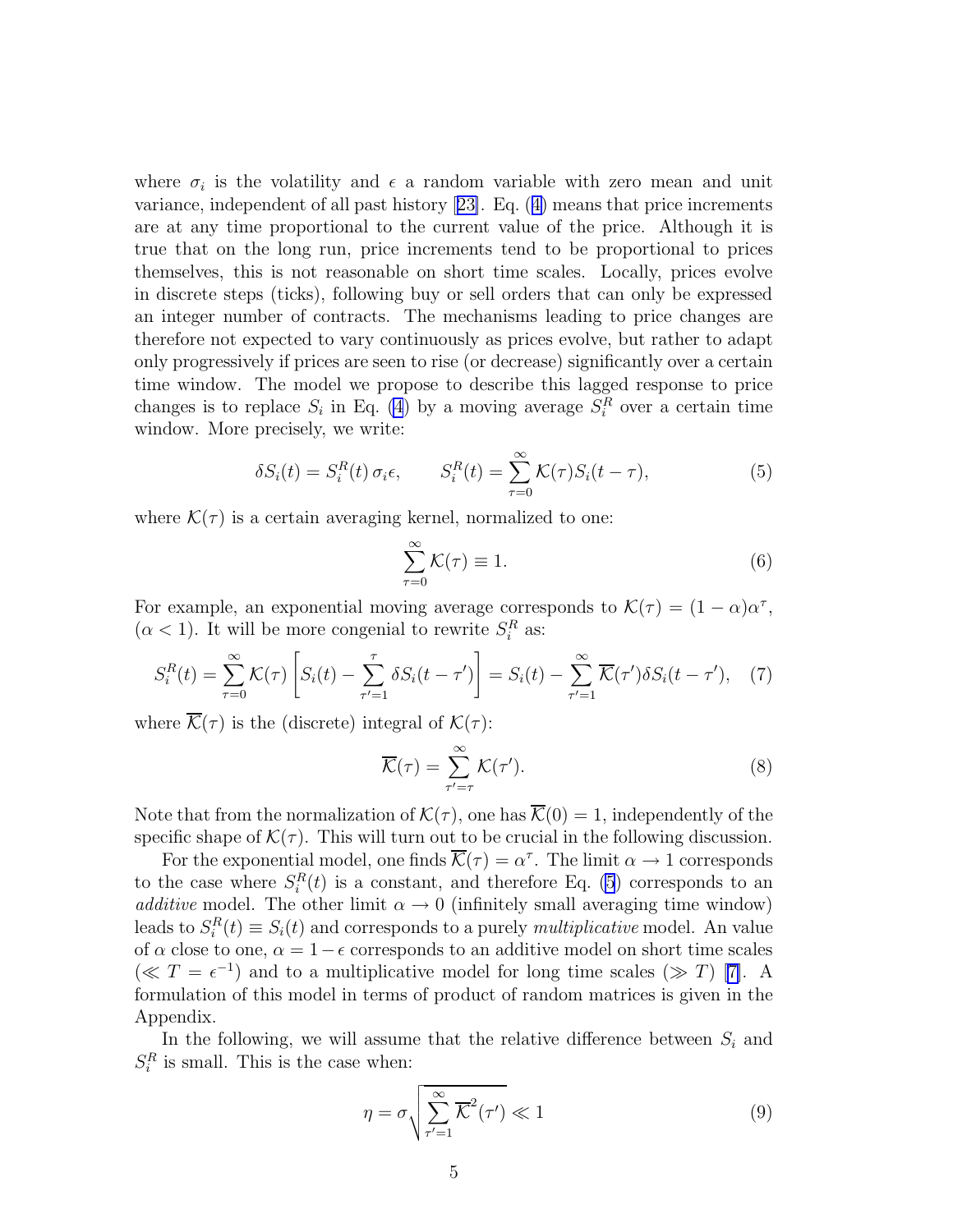<span id="page-4-0"></span>where  $\sigma_i$  is the volatility and  $\epsilon$  a random variable with zero mean and unit variance, independent of all past history[[23\]](#page-10-0). Eq.([4\)](#page-3-0) means that price increments are at any time proportional to the current value of the price. Although it is true that on the long run, price increments tend to be proportional to prices themselves, this is not reasonable on short time scales. Locally, prices evolve in discrete steps (ticks), following buy or sell orders that can only be expressed an integer number of contracts. The mechanisms leading to price changes are therefore not expected to vary continuously as prices evolve, but rather to adapt only progressively if prices are seen to rise (or decrease) significantly over a certain time window. The model we propose to describe this lagged response to price changes is to replace  $S_i$  in Eq. [\(4](#page-3-0)) by a moving average  $S_i^R$  over a certain time window. More precisely, we write:

$$
\delta S_i(t) = S_i^R(t) \sigma_i \epsilon, \qquad S_i^R(t) = \sum_{\tau=0}^{\infty} \mathcal{K}(\tau) S_i(t - \tau), \tag{5}
$$

where  $\mathcal{K}(\tau)$  is a certain averaging kernel, normalized to one:

$$
\sum_{\tau=0}^{\infty} \mathcal{K}(\tau) \equiv 1.
$$
 (6)

For example, an exponential moving average corresponds to  $\mathcal{K}(\tau) = (1 - \alpha)\alpha^{\tau}$ ,  $(\alpha < 1)$ . It will be more congenial to rewrite  $S_i^R$  as:

$$
S_i^R(t) = \sum_{\tau=0}^{\infty} \mathcal{K}(\tau) \left[ S_i(t) - \sum_{\tau'=1}^{\tau} \delta S_i(t - \tau') \right] = S_i(t) - \sum_{\tau'=1}^{\infty} \overline{\mathcal{K}}(\tau') \delta S_i(t - \tau'), \quad (7)
$$

where  $\mathcal{K}(\tau)$  is the (discrete) integral of  $\mathcal{K}(\tau)$ :

$$
\overline{\mathcal{K}}(\tau) = \sum_{\tau' = \tau}^{\infty} \mathcal{K}(\tau'). \tag{8}
$$

Note that from the normalization of  $\mathcal{K}(\tau)$ , one has  $\overline{\mathcal{K}}(0) = 1$ , independently of the specific shape of  $\mathcal{K}(\tau)$ . This will turn out to be crucial in the following discussion.

For the exponential model, one finds  $\overline{\mathcal{K}}(\tau) = \alpha^{\tau}$ . The limit  $\alpha \to 1$  corresponds to the case where  $S_i^R(t)$  is a constant, and therefore Eq. (5) corresponds to an *additive* model. The other limit  $\alpha \to 0$  (infinitely small averaging time window) leads to  $S_i^R(t) \equiv S_i(t)$  and corresponds to a purely *multiplicative* model. An value of  $\alpha$  close to one,  $\alpha = 1 - \epsilon$  corresponds to an additive model on short time scales (≪ $T = e^{-1}$ ) and to a multiplicative model for long time scales ( $\gg$  T) [[7\]](#page-10-0). A formulation of this model in terms of product of random matrices is given in the Appendix.

In the following, we will assume that the relative difference between  $S_i$  and  $S_i^R$  is small. This is the case when:

$$
\eta = \sigma \sqrt{\sum_{\tau'=1}^{\infty} \overline{\mathcal{K}}^2(\tau')} \ll 1
$$
\n(9)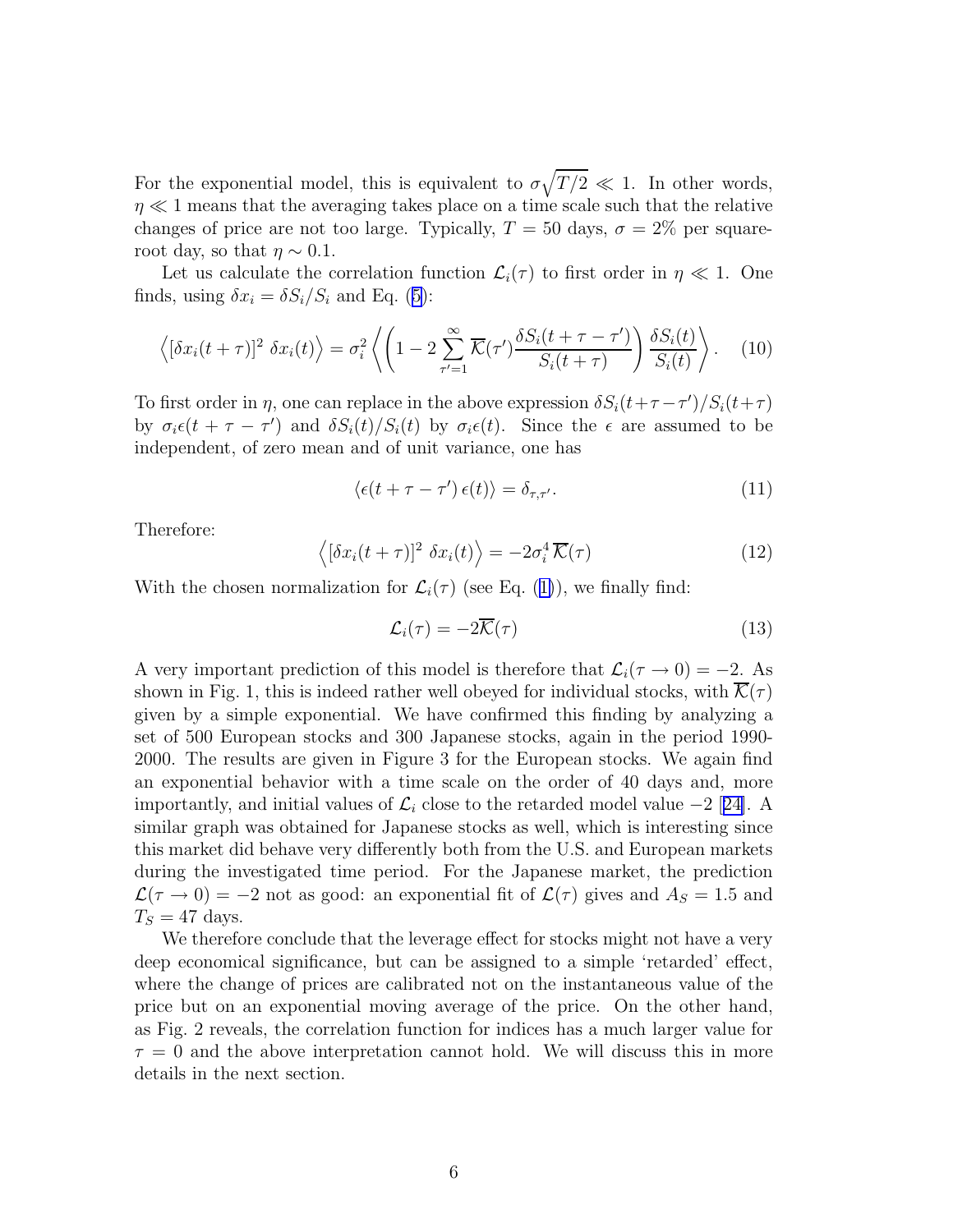For the exponential model, this is equivalent to  $\sigma\sqrt{T/2} \ll 1$ . In other words,  $\eta \ll 1$  means that the averaging takes place on a time scale such that the relative changes of price are not too large. Typically,  $T = 50$  days,  $\sigma = 2\%$  per squareroot day, so that  $\eta \sim 0.1$ .

Let us calculate the correlation function  $\mathcal{L}_i(\tau)$  to first order in  $\eta \ll 1$ . One finds,using  $\delta x_i = \delta S_i/S_i$  and Eq. ([5\)](#page-4-0):

$$
\left\langle \left[\delta x_i(t+\tau)\right]^2 \delta x_i(t) \right\rangle = \sigma_i^2 \left\langle \left(1 - 2 \sum_{\tau'=1}^{\infty} \overline{\mathcal{K}}(\tau') \frac{\delta S_i(t+\tau-\tau')}{S_i(t+\tau)} \right) \frac{\delta S_i(t)}{S_i(t)} \right\rangle. \tag{10}
$$

To first order in  $\eta$ , one can replace in the above expression  $\delta S_i(t+\tau-\tau')/S_i(t+\tau)$ by  $\sigma_i \epsilon(t + \tau - \tau')$  and  $\delta S_i(t)/S_i(t)$  by  $\sigma_i \epsilon(t)$ . Since the  $\epsilon$  are assumed to be independent, of zero mean and of unit variance, one has

$$
\langle \epsilon(t+\tau-\tau')\,\epsilon(t)\rangle = \delta_{\tau,\tau'}.\tag{11}
$$

Therefore:

$$
\langle [\delta x_i(t+\tau)]^2 \delta x_i(t) \rangle = -2\sigma_i^4 \overline{\mathcal{K}}(\tau) \tag{12}
$$

Withthe chosen normalization for  $\mathcal{L}_i(\tau)$  (see Eq. ([1\)](#page-1-0)), we finally find:

$$
\mathcal{L}_i(\tau) = -2\overline{\mathcal{K}}(\tau) \tag{13}
$$

A very important prediction of this model is therefore that  $\mathcal{L}_i(\tau \to 0) = -2$ . As shown in Fig. 1, this is indeed rather well obeyed for individual stocks, with  $\mathcal{K}(\tau)$ given by a simple exponential. We have confirmed this finding by analyzing a set of 500 European stocks and 300 Japanese stocks, again in the period 1990- 2000. The results are given in Figure 3 for the European stocks. We again find an exponential behavior with a time scale on the order of 40 days and, more importantly,and initial values of  $\mathcal{L}_i$  close to the retarded model value −2 [[24\]](#page-11-0). A similar graph was obtained for Japanese stocks as well, which is interesting since this market did behave very differently both from the U.S. and European markets during the investigated time period. For the Japanese market, the prediction  $\mathcal{L}(\tau \to 0) = -2$  not as good: an exponential fit of  $\mathcal{L}(\tau)$  gives and  $A_S = 1.5$  and  $T_S = 47$  days.

We therefore conclude that the leverage effect for stocks might not have a very deep economical significance, but can be assigned to a simple 'retarded' effect, where the change of prices are calibrated not on the instantaneous value of the price but on an exponential moving average of the price. On the other hand, as Fig. 2 reveals, the correlation function for indices has a much larger value for  $\tau = 0$  and the above interpretation cannot hold. We will discuss this in more details in the next section.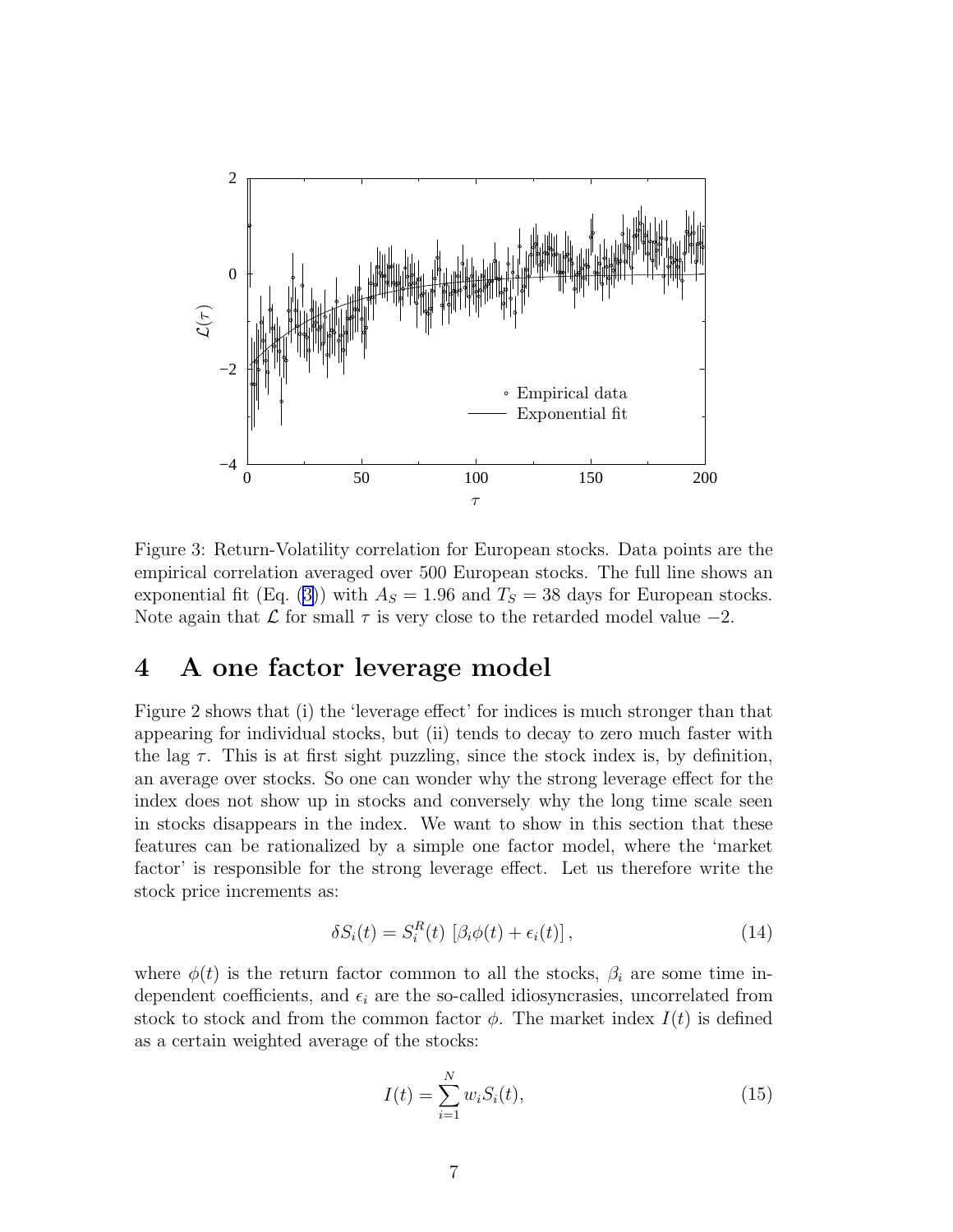<span id="page-6-0"></span>

Figure 3: Return-Volatility correlation for European stocks. Data points are the empirical correlation averaged over 500 European stocks. The full line shows an exponentialfit (Eq. ([3\)](#page-3-0)) with  $A<sub>S</sub> = 1.96$  and  $T<sub>S</sub> = 38$  days for European stocks. Note again that  $\mathcal L$  for small  $\tau$  is very close to the retarded model value  $-2$ .

### 4 A one factor leverage model

Figure 2 shows that (i) the 'leverage effect' for indices is much stronger than that appearing for individual stocks, but (ii) tends to decay to zero much faster with the lag  $\tau$ . This is at first sight puzzling, since the stock index is, by definition, an average over stocks. So one can wonder why the strong leverage effect for the index does not show up in stocks and conversely why the long time scale seen in stocks disappears in the index. We want to show in this section that these features can be rationalized by a simple one factor model, where the 'market factor' is responsible for the strong leverage effect. Let us therefore write the stock price increments as:

$$
\delta S_i(t) = S_i^R(t) \left[ \beta_i \phi(t) + \epsilon_i(t) \right], \tag{14}
$$

where  $\phi(t)$  is the return factor common to all the stocks,  $\beta_i$  are some time independent coefficients, and  $\epsilon_i$  are the so-called idiosyncrasies, uncorrelated from stock to stock and from the common factor  $\phi$ . The market index  $I(t)$  is defined as a certain weighted average of the stocks:

$$
I(t) = \sum_{i=1}^{N} w_i S_i(t),
$$
\n(15)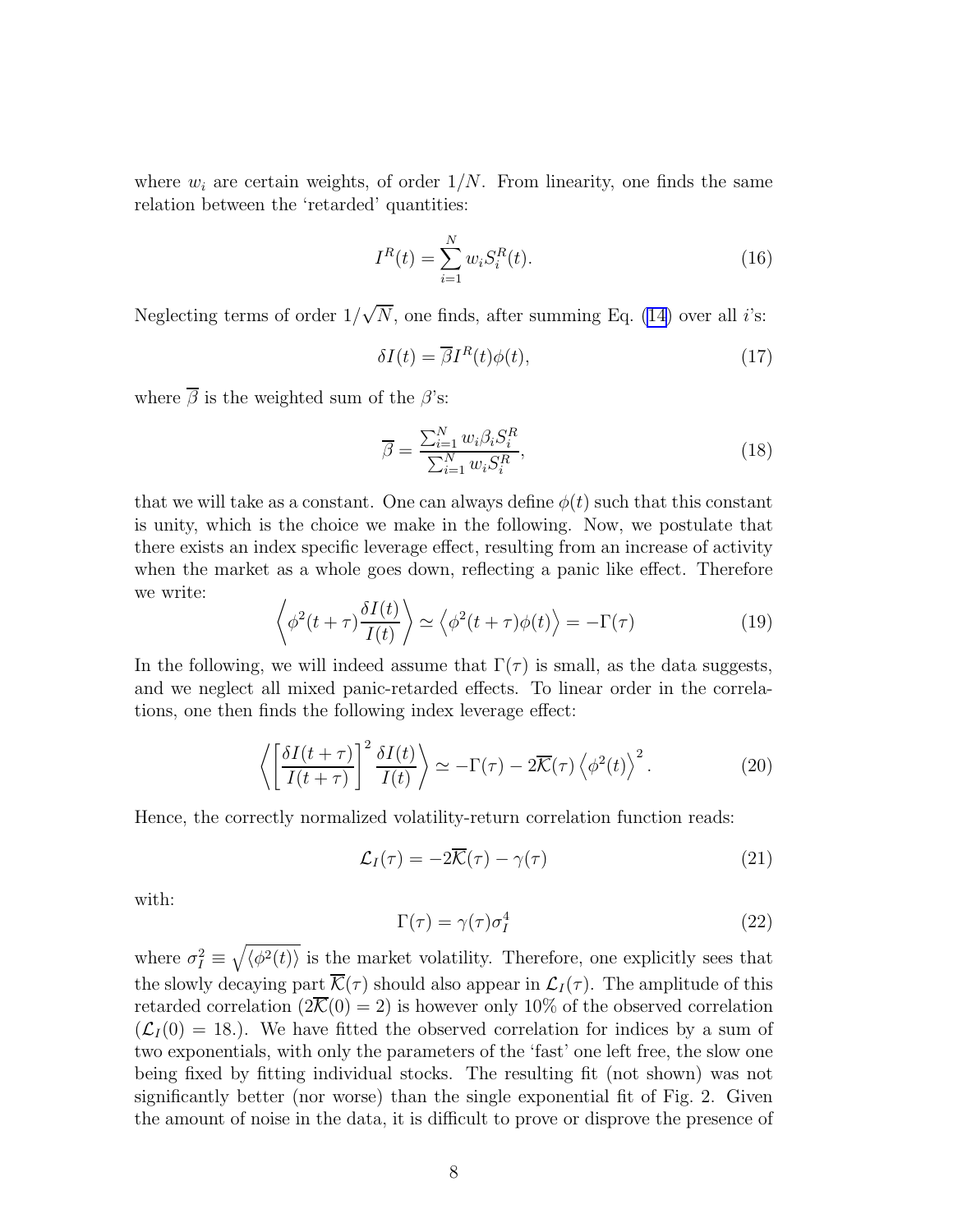where  $w_i$  are certain weights, of order  $1/N$ . From linearity, one finds the same relation between the 'retarded' quantities:

$$
I^{R}(t) = \sum_{i=1}^{N} w_{i} S_{i}^{R}(t).
$$
\n(16)

Neglecting terms of order  $1/\sqrt{N}$ , one finds, after summing Eq. [\(14](#page-6-0)) over all *i*'s:

$$
\delta I(t) = \overline{\beta} I^R(t) \phi(t),\tag{17}
$$

where  $\overline{\beta}$  is the weighted sum of the  $\beta$ 's:

$$
\overline{\beta} = \frac{\sum_{i=1}^{N} w_i \beta_i S_i^R}{\sum_{i=1}^{N} w_i S_i^R},\tag{18}
$$

that we will take as a constant. One can always define  $\phi(t)$  such that this constant is unity, which is the choice we make in the following. Now, we postulate that there exists an index specific leverage effect, resulting from an increase of activity when the market as a whole goes down, reflecting a panic like effect. Therefore we write:

$$
\left\langle \phi^2(t+\tau)\frac{\delta I(t)}{I(t)}\right\rangle \simeq \left\langle \phi^2(t+\tau)\phi(t)\right\rangle = -\Gamma(\tau) \tag{19}
$$

In the following, we will indeed assume that  $\Gamma(\tau)$  is small, as the data suggests, and we neglect all mixed panic-retarded effects. To linear order in the correlations, one then finds the following index leverage effect:

$$
\left\langle \left[ \frac{\delta I(t+\tau)}{I(t+\tau)} \right]^2 \frac{\delta I(t)}{I(t)} \right\rangle \simeq -\Gamma(\tau) - 2\overline{\mathcal{K}}(\tau) \left\langle \phi^2(t) \right\rangle^2. \tag{20}
$$

Hence, the correctly normalized volatility-return correlation function reads:

$$
\mathcal{L}_I(\tau) = -2\overline{\mathcal{K}}(\tau) - \gamma(\tau) \tag{21}
$$

with:

$$
\Gamma(\tau) = \gamma(\tau)\sigma_I^4 \tag{22}
$$

where  $\sigma_I^2 \equiv \sqrt{\langle \phi^2(t) \rangle}$  is the market volatility. Therefore, one explicitly sees that the slowly decaying part  $\overline{\mathcal{K}}(\tau)$  should also appear in  $\mathcal{L}_I(\tau)$ . The amplitude of this retarded correlation  $(2\overline{\mathcal{K}}(0) = 2)$  is however only 10% of the observed correlation  $(\mathcal{L}_I(0) = 18)$ . We have fitted the observed correlation for indices by a sum of two exponentials, with only the parameters of the 'fast' one left free, the slow one being fixed by fitting individual stocks. The resulting fit (not shown) was not significantly better (nor worse) than the single exponential fit of Fig. 2. Given the amount of noise in the data, it is difficult to prove or disprove the presence of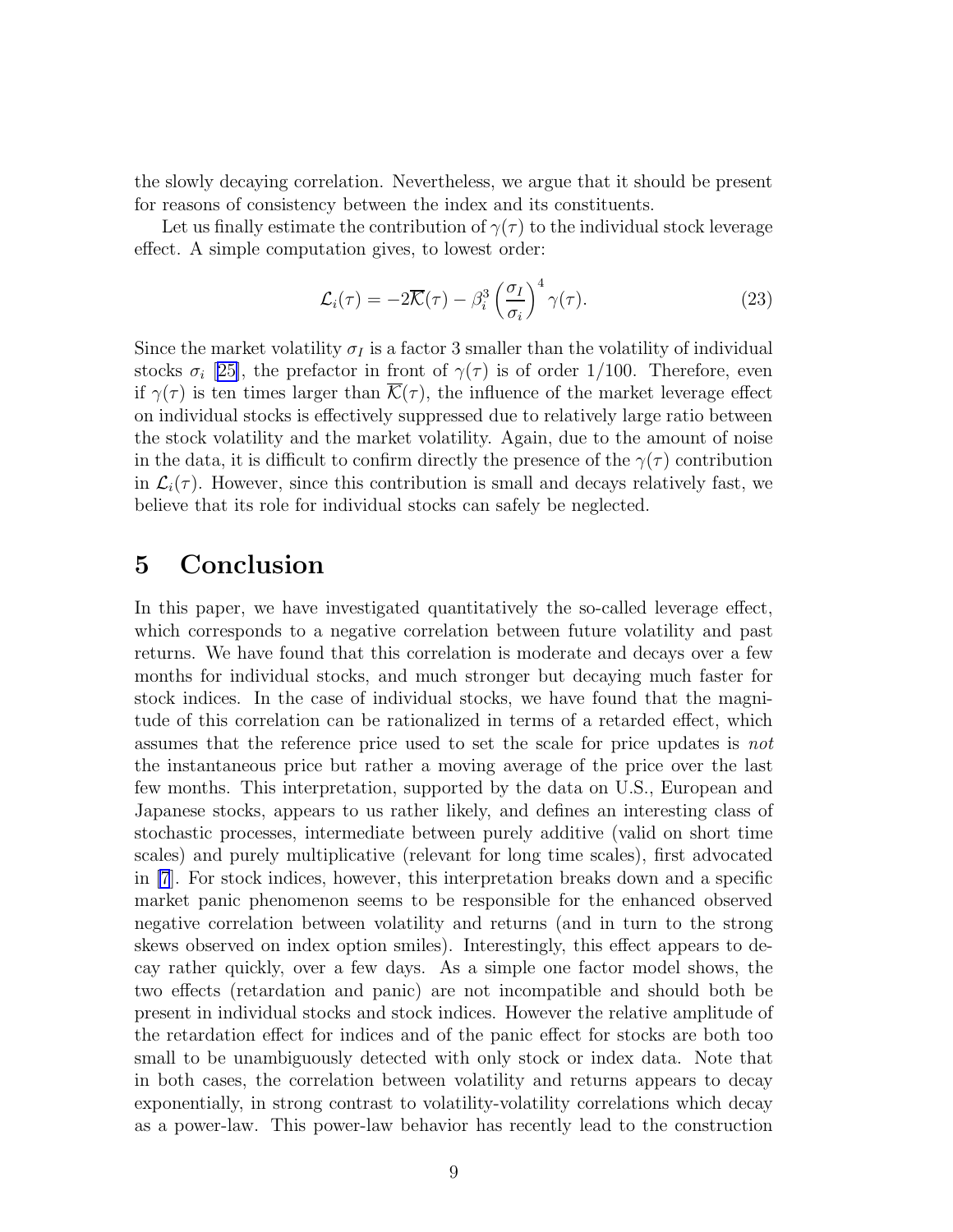the slowly decaying correlation. Nevertheless, we argue that it should be present for reasons of consistency between the index and its constituents.

Let us finally estimate the contribution of  $\gamma(\tau)$  to the individual stock leverage effect. A simple computation gives, to lowest order:

$$
\mathcal{L}_i(\tau) = -2\overline{\mathcal{K}}(\tau) - \beta_i^3 \left(\frac{\sigma_I}{\sigma_i}\right)^4 \gamma(\tau). \tag{23}
$$

Since the market volatility  $\sigma_I$  is a factor 3 smaller than the volatility of individual stocks  $\sigma_i$  [[25\]](#page-11-0), the prefactor in front of  $\gamma(\tau)$  is of order 1/100. Therefore, even if  $\gamma(\tau)$  is ten times larger than  $\overline{\mathcal{K}}(\tau)$ , the influence of the market leverage effect on individual stocks is effectively suppressed due to relatively large ratio between the stock volatility and the market volatility. Again, due to the amount of noise in the data, it is difficult to confirm directly the presence of the  $\gamma(\tau)$  contribution in  $\mathcal{L}_i(\tau)$ . However, since this contribution is small and decays relatively fast, we believe that its role for individual stocks can safely be neglected.

#### 5 Conclusion

In this paper, we have investigated quantitatively the so-called leverage effect, which corresponds to a negative correlation between future volatility and past returns. We have found that this correlation is moderate and decays over a few months for individual stocks, and much stronger but decaying much faster for stock indices. In the case of individual stocks, we have found that the magnitude of this correlation can be rationalized in terms of a retarded effect, which assumes that the reference price used to set the scale for price updates is *not* the instantaneous price but rather a moving average of the price over the last few months. This interpretation, supported by the data on U.S., European and Japanese stocks, appears to us rather likely, and defines an interesting class of stochastic processes, intermediate between purely additive (valid on short time scales) and purely multiplicative (relevant for long time scales), first advocated in [\[7](#page-10-0)]. For stock indices, however, this interpretation breaks down and a specific market panic phenomenon seems to be responsible for the enhanced observed negative correlation between volatility and returns (and in turn to the strong skews observed on index option smiles). Interestingly, this effect appears to decay rather quickly, over a few days. As a simple one factor model shows, the two effects (retardation and panic) are not incompatible and should both be present in individual stocks and stock indices. However the relative amplitude of the retardation effect for indices and of the panic effect for stocks are both too small to be unambiguously detected with only stock or index data. Note that in both cases, the correlation between volatility and returns appears to decay exponentially, in strong contrast to volatility-volatility correlations which decay as a power-law. This power-law behavior has recently lead to the construction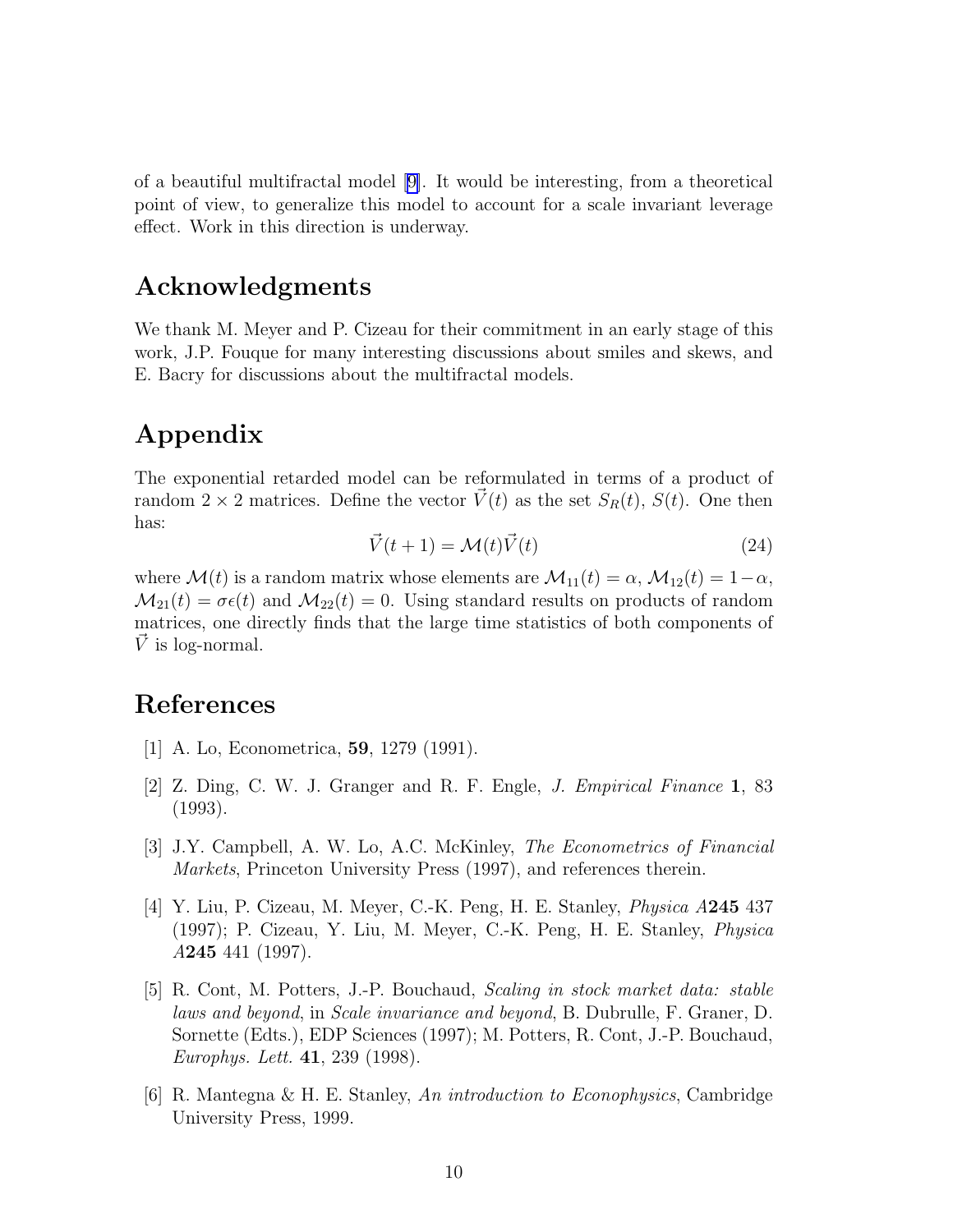<span id="page-9-0"></span>of a beautiful multifractal model [\[9\]](#page-10-0). It would be interesting, from a theoretical point of view, to generalize this model to account for a scale invariant leverage effect. Work in this direction is underway.

### Acknowledgments

We thank M. Meyer and P. Cizeau for their commitment in an early stage of this work, J.P. Fouque for many interesting discussions about smiles and skews, and E. Bacry for discussions about the multifractal models.

## Appendix

The exponential retarded model can be reformulated in terms of a product of random  $2 \times 2$  matrices. Define the vector  $\vec{V}(t)$  as the set  $S_R(t)$ ,  $S(t)$ . One then has:

$$
\vec{V}(t+1) = \mathcal{M}(t)\vec{V}(t)
$$
\n(24)

where  $\mathcal{M}(t)$  is a random matrix whose elements are  $\mathcal{M}_{11}(t) = \alpha$ ,  $\mathcal{M}_{12}(t) = 1 - \alpha$ ,  $\mathcal{M}_{21}(t) = \sigma \epsilon(t)$  and  $\mathcal{M}_{22}(t) = 0$ . Using standard results on products of random matrices, one directly finds that the large time statistics of both components of  $\dot{V}$  is log-normal.

#### References

- [1] A. Lo, Econometrica, 59, 1279 (1991).
- [2] Z. Ding, C. W. J. Granger and R. F. Engle, *J. Empirical Finance* 1, 83 (1993).
- [3] J.Y. Campbell, A. W. Lo, A.C. McKinley, *The Econometrics of Financial Markets*, Princeton University Press (1997), and references therein.
- [4] Y. Liu, P. Cizeau, M. Meyer, C.-K. Peng, H. E. Stanley, *Physica A*245 437 (1997); P. Cizeau, Y. Liu, M. Meyer, C.-K. Peng, H. E. Stanley, *Physica A*245 441 (1997).
- [5] R. Cont, M. Potters, J.-P. Bouchaud, *Scaling in stock market data: stable laws and beyond*, in *Scale invariance and beyond*, B. Dubrulle, F. Graner, D. Sornette (Edts.), EDP Sciences (1997); M. Potters, R. Cont, J.-P. Bouchaud, *Europhys. Lett.* 41, 239 (1998).
- [6] R. Mantegna & H. E. Stanley, *An introduction to Econophysics*, Cambridge University Press, 1999.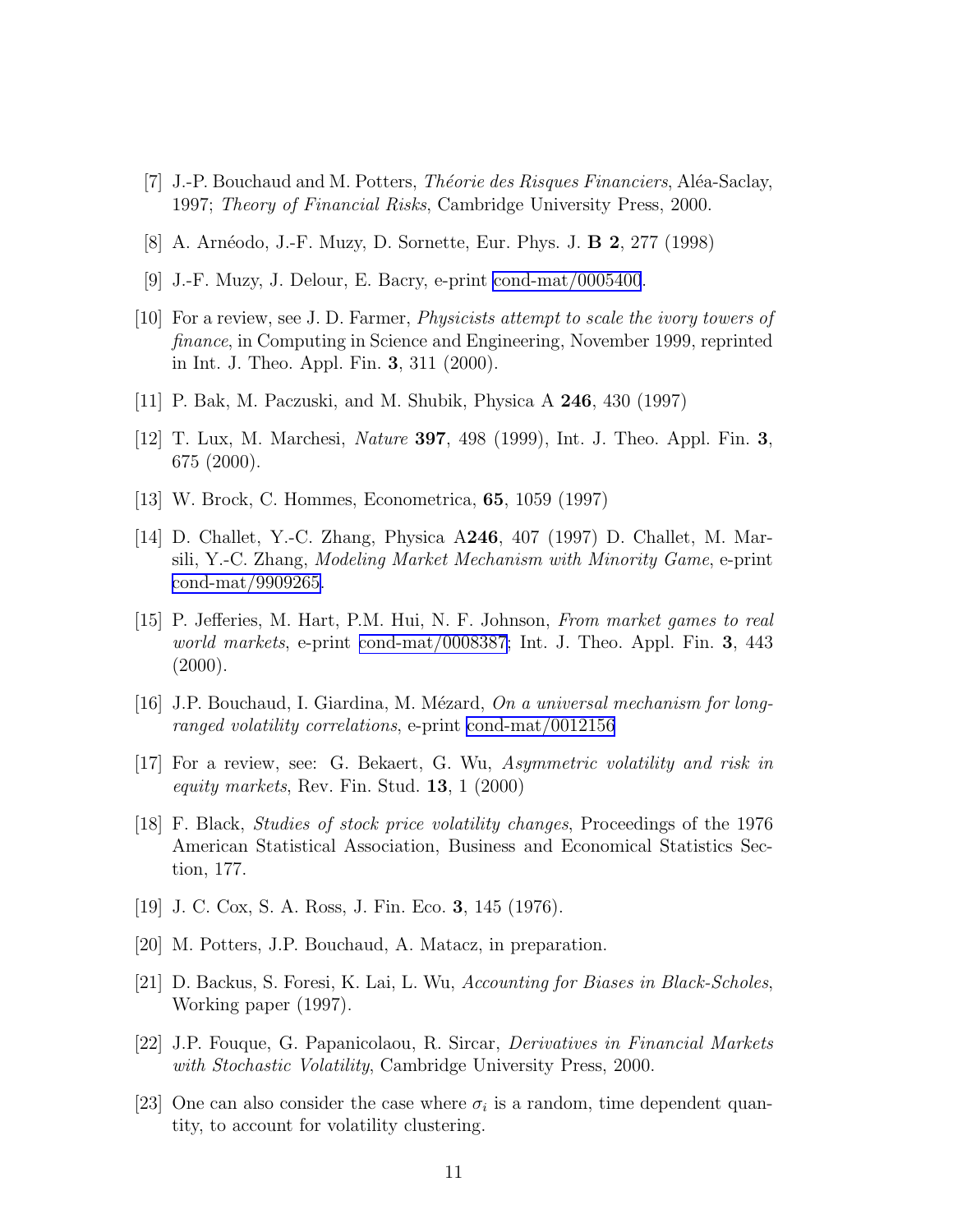- <span id="page-10-0"></span>[7] J.-P. Bouchaud and M. Potters, *Th´eorie des Risques Financiers*, Al´ea-Saclay, 1997; *Theory of Financial Risks*, Cambridge University Press, 2000.
- [8] A. Arnéodo, J.-F. Muzy, D. Sornette, Eur. Phys. J. **B 2**, 277 (1998)
- [9] J.-F. Muzy, J. Delour, E. Bacry, e-print [cond-mat/0005400](http://arXiv.org/abs/cond-mat/0005400).
- [10] For a review, see J. D. Farmer, *Physicists attempt to scale the ivory towers of finance*, in Computing in Science and Engineering, November 1999, reprinted in Int. J. Theo. Appl. Fin. 3, 311 (2000).
- [11] P. Bak, M. Paczuski, and M. Shubik, Physica A 246, 430 (1997)
- [12] T. Lux, M. Marchesi, *Nature* 397, 498 (1999), Int. J. Theo. Appl. Fin. 3, 675 (2000).
- [13] W. Brock, C. Hommes, Econometrica, 65, 1059 (1997)
- [14] D. Challet, Y.-C. Zhang, Physica A246, 407 (1997) D. Challet, M. Marsili, Y.-C. Zhang, *Modeling Market Mechanism with Minority Game*, e-print [cond-mat/9909265.](http://arXiv.org/abs/cond-mat/9909265)
- [15] P. Jefferies, M. Hart, P.M. Hui, N. F. Johnson, *From market games to real world markets*, e-print [cond-mat/0008387;](http://arXiv.org/abs/cond-mat/0008387) Int. J. Theo. Appl. Fin. 3, 443  $(2000).$
- [16] J.P. Bouchaud, I. Giardina, M. M´ezard, *On a universal mechanism for longranged volatility correlations*, e-print [cond-mat/0012156](http://arXiv.org/abs/cond-mat/0012156)
- [17] For a review, see: G. Bekaert, G. Wu, *Asymmetric volatility and risk in equity markets*, Rev. Fin. Stud. 13, 1 (2000)
- [18] F. Black, *Studies of stock price volatility changes*, Proceedings of the 1976 American Statistical Association, Business and Economical Statistics Section, 177.
- [19] J. C. Cox, S. A. Ross, J. Fin. Eco. 3, 145 (1976).
- [20] M. Potters, J.P. Bouchaud, A. Matacz, in preparation.
- [21] D. Backus, S. Foresi, K. Lai, L. Wu, *Accounting for Biases in Black-Scholes*, Working paper (1997).
- [22] J.P. Fouque, G. Papanicolaou, R. Sircar, *Derivatives in Financial Markets with Stochastic Volatility*, Cambridge University Press, 2000.
- [23] One can also consider the case where  $\sigma_i$  is a random, time dependent quantity, to account for volatility clustering.